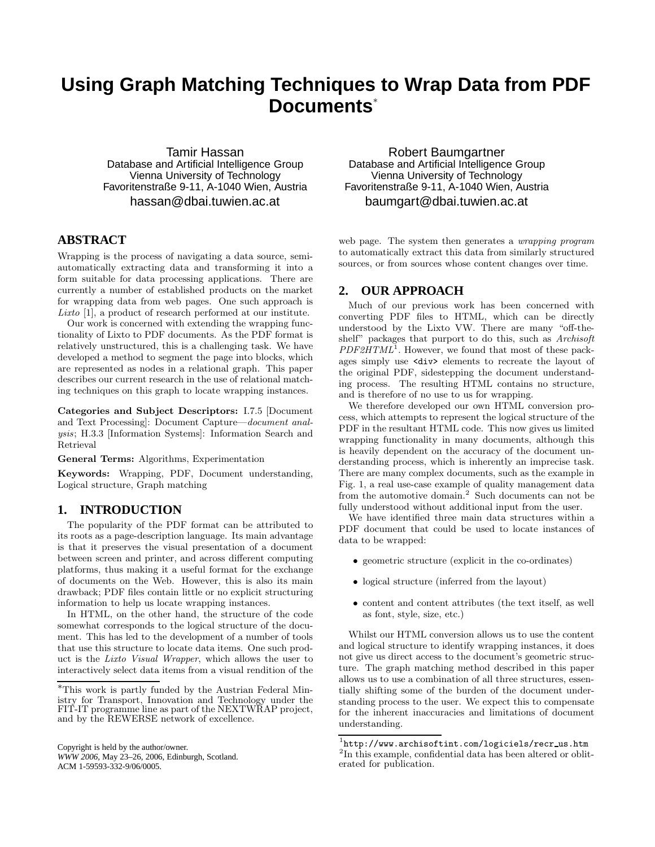# **Using Graph Matching Techniques to Wrap Data from PDF Documents**<sup>∗</sup>

Tamir Hassan Database and Artificial Intelligence Group Vienna University of Technology Favoritenstraße 9-11, A-1040 Wien, Austria hassan@dbai.tuwien.ac.at

# **ABSTRACT**

Wrapping is the process of navigating a data source, semiautomatically extracting data and transforming it into a form suitable for data processing applications. There are currently a number of established products on the market for wrapping data from web pages. One such approach is Lixto [1], a product of research performed at our institute.

Our work is concerned with extending the wrapping functionality of Lixto to PDF documents. As the PDF format is relatively unstructured, this is a challenging task. We have developed a method to segment the page into blocks, which are represented as nodes in a relational graph. This paper describes our current research in the use of relational matching techniques on this graph to locate wrapping instances.

Categories and Subject Descriptors: I.7.5 [Document and Text Processing]: Document Capture—document analysis; H.3.3 [Information Systems]: Information Search and Retrieval

General Terms: Algorithms, Experimentation

Keywords: Wrapping, PDF, Document understanding, Logical structure, Graph matching

# **1. INTRODUCTION**

The popularity of the PDF format can be attributed to its roots as a page-description language. Its main advantage is that it preserves the visual presentation of a document between screen and printer, and across different computing platforms, thus making it a useful format for the exchange of documents on the Web. However, this is also its main drawback; PDF files contain little or no explicit structuring information to help us locate wrapping instances.

In HTML, on the other hand, the structure of the code somewhat corresponds to the logical structure of the document. This has led to the development of a number of tools that use this structure to locate data items. One such product is the Lixto Visual Wrapper, which allows the user to interactively select data items from a visual rendition of the

Copyright is held by the author/owner. *WWW 2006,* May 23–26, 2006, Edinburgh, Scotland. ACM 1-59593-332-9/06/0005.

Robert Baumgartner Database and Artificial Intelligence Group Vienna University of Technology Favoritenstraße 9-11, A-1040 Wien, Austria baumgart@dbai.tuwien.ac.at

web page. The system then generates a wrapping program to automatically extract this data from similarly structured sources, or from sources whose content changes over time.

## **2. OUR APPROACH**

Much of our previous work has been concerned with converting PDF files to HTML, which can be directly understood by the Lixto VW. There are many "off-theshelf" packages that purport to do this, such as *Archisoft* PDF2HTML<sup>1</sup>. However, we found that most of these packages simply use <div> elements to recreate the layout of the original PDF, sidestepping the document understanding process. The resulting HTML contains no structure, and is therefore of no use to us for wrapping.

We therefore developed our own HTML conversion process, which attempts to represent the logical structure of the PDF in the resultant HTML code. This now gives us limited wrapping functionality in many documents, although this is heavily dependent on the accuracy of the document understanding process, which is inherently an imprecise task. There are many complex documents, such as the example in Fig. 1, a real use-case example of quality management data from the automotive domain.<sup>2</sup> Such documents can not be fully understood without additional input from the user.

We have identified three main data structures within a PDF document that could be used to locate instances of data to be wrapped:

- geometric structure (explicit in the co-ordinates)
- logical structure (inferred from the layout)
- content and content attributes (the text itself, as well as font, style, size, etc.)

Whilst our HTML conversion allows us to use the content and logical structure to identify wrapping instances, it does not give us direct access to the document's geometric structure. The graph matching method described in this paper allows us to use a combination of all three structures, essentially shifting some of the burden of the document understanding process to the user. We expect this to compensate for the inherent inaccuracies and limitations of document understanding.

<sup>∗</sup>This work is partly funded by the Austrian Federal Ministry for Transport, Innovation and Technology under the FIT-IT programme line as part of the NEXTWRAP project, and by the REWERSE network of excellence.

 $^{\rm 1}$ http://www.archisoftint.com/logiciels/recr\_us.htm <sup>2</sup>In this example, confidential data has been altered or obliterated for publication.